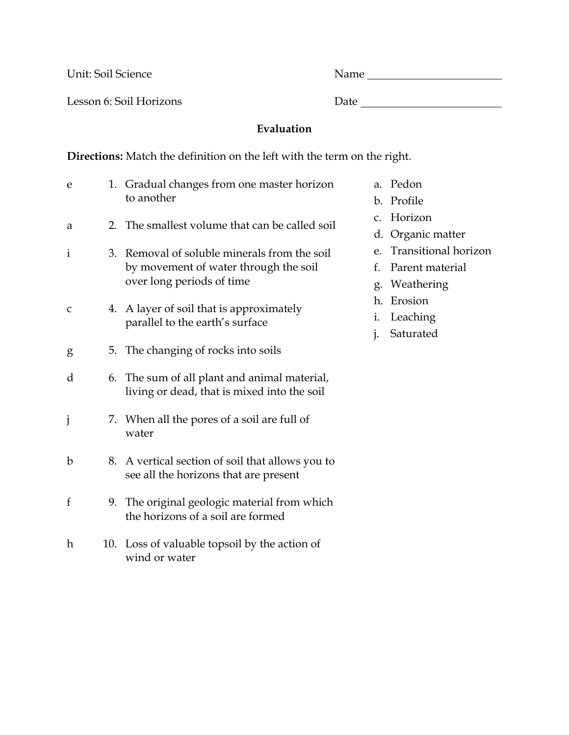Unit: Soil Science Name

Lesson 6: Soil Horizons Date

## **Evaluation**

**Directions:** Match the definition on the left with the term on the right.

| e            |     | 1. Gradual changes from one master horizon<br>to another                                                           |
|--------------|-----|--------------------------------------------------------------------------------------------------------------------|
| a            |     | 2. The smallest volume that can be called soil                                                                     |
| $\mathbf{i}$ |     | 3. Removal of soluble minerals from the soil<br>by movement of water through the soil<br>over long periods of time |
| C            | 4.  | A layer of soil that is approximately<br>parallel to the earth's surface                                           |
| g            |     | 5. The changing of rocks into soils                                                                                |
| d            |     | 6. The sum of all plant and animal material,<br>living or dead, that is mixed into the soil                        |
| j            |     | 7. When all the pores of a soil are full of<br>water                                                               |
| $\mathbf b$  | 8.  | A vertical section of soil that allows you to<br>see all the horizons that are present                             |
| f            |     | 9. The original geologic material from which<br>the horizons of a soil are formed                                  |
| $\hbar$      | 10. | Loss of valuable topsoil by the action of<br>wind or water                                                         |

- a. Pedon
- b. Profile
- c. Horizon
- d. Organic matter
- e. Transitional horizon
- f. Parent material
- g. Weathering
- h. Erosion
- i. Leaching
- j. Saturated